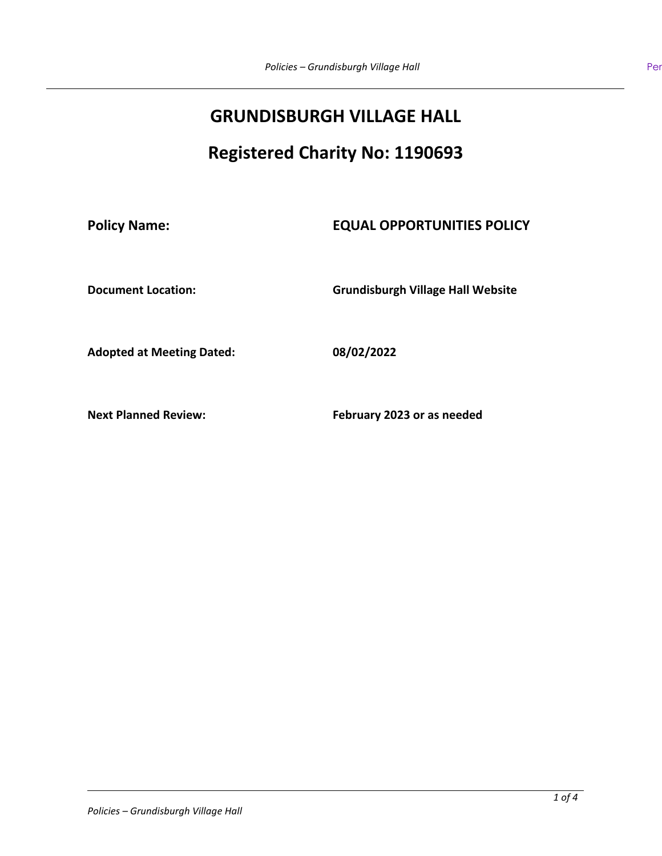# **GRUNDISBURGH VILLAGE HALL**

# **Registered Charity No: 1190693**

## **Policy Name: EQUAL OPPORTUNITIES POLICY**

**Document Location: Grundisburgh Village Hall Website**

**Adopted at Meeting Dated: 08/02/2022**

**Next Planned Review: February 2023 or as needed**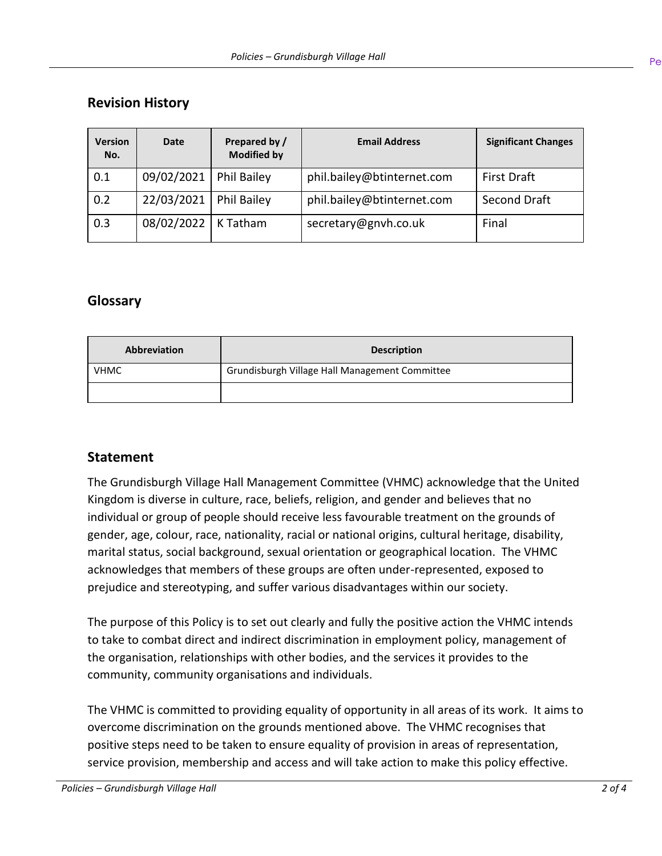## **Revision History**

| <b>Version</b><br>No. | <b>Date</b> | Prepared by /<br><b>Modified by</b> | <b>Email Address</b>       | <b>Significant Changes</b> |
|-----------------------|-------------|-------------------------------------|----------------------------|----------------------------|
| 0.1                   | 09/02/2021  | <b>Phil Bailey</b>                  | phil.bailey@btinternet.com | <b>First Draft</b>         |
| 0.2                   | 22/03/2021  | Phil Bailey                         | phil.bailey@btinternet.com | Second Draft               |
| 0.3                   | 08/02/2022  | K Tatham                            | secretary@gnvh.co.uk       | Final                      |

## **Glossary**

| <b>Abbreviation</b> | <b>Description</b>                             |  |
|---------------------|------------------------------------------------|--|
| <b>VHMC</b>         | Grundisburgh Village Hall Management Committee |  |
|                     |                                                |  |

## **Statement**

The Grundisburgh Village Hall Management Committee (VHMC) acknowledge that the United Kingdom is diverse in culture, race, beliefs, religion, and gender and believes that no individual or group of people should receive less favourable treatment on the grounds of gender, age, colour, race, nationality, racial or national origins, cultural heritage, disability, marital status, social background, sexual orientation or geographical location. The VHMC acknowledges that members of these groups are often under-represented, exposed to prejudice and stereotyping, and suffer various disadvantages within our society.

The purpose of this Policy is to set out clearly and fully the positive action the VHMC intends to take to combat direct and indirect discrimination in employment policy, management of the organisation, relationships with other bodies, and the services it provides to the community, community organisations and individuals.

The VHMC is committed to providing equality of opportunity in all areas of its work. It aims to overcome discrimination on the grounds mentioned above. The VHMC recognises that positive steps need to be taken to ensure equality of provision in areas of representation, service provision, membership and access and will take action to make this policy effective.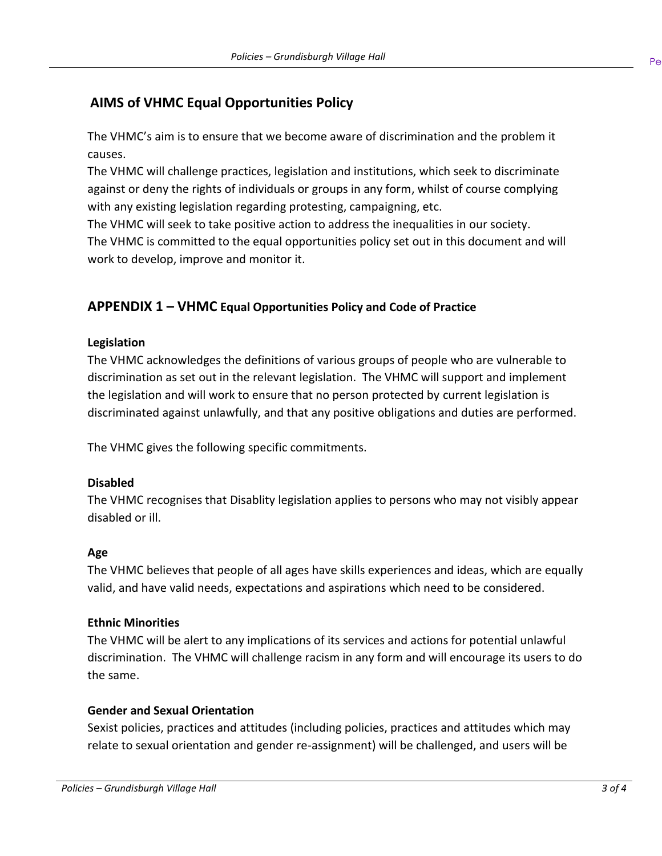## **AIMS of VHMC Equal Opportunities Policy**

The VHMC's aim is to ensure that we become aware of discrimination and the problem it causes.

The VHMC will challenge practices, legislation and institutions, which seek to discriminate against or deny the rights of individuals or groups in any form, whilst of course complying with any existing legislation regarding protesting, campaigning, etc.

The VHMC will seek to take positive action to address the inequalities in our society. The VHMC is committed to the equal opportunities policy set out in this document and will work to develop, improve and monitor it.

## **APPENDIX 1 – VHMC Equal Opportunities Policy and Code of Practice**

#### **Legislation**

The VHMC acknowledges the definitions of various groups of people who are vulnerable to discrimination as set out in the relevant legislation. The VHMC will support and implement the legislation and will work to ensure that no person protected by current legislation is discriminated against unlawfully, and that any positive obligations and duties are performed.

The VHMC gives the following specific commitments.

#### **Disabled**

The VHMC recognises that Disablity legislation applies to persons who may not visibly appear disabled or ill.

#### **Age**

The VHMC believes that people of all ages have skills experiences and ideas, which are equally valid, and have valid needs, expectations and aspirations which need to be considered.

#### **Ethnic Minorities**

The VHMC will be alert to any implications of its services and actions for potential unlawful discrimination. The VHMC will challenge racism in any form and will encourage its users to do the same.

#### **Gender and Sexual Orientation**

Sexist policies, practices and attitudes (including policies, practices and attitudes which may relate to sexual orientation and gender re-assignment) will be challenged, and users will be